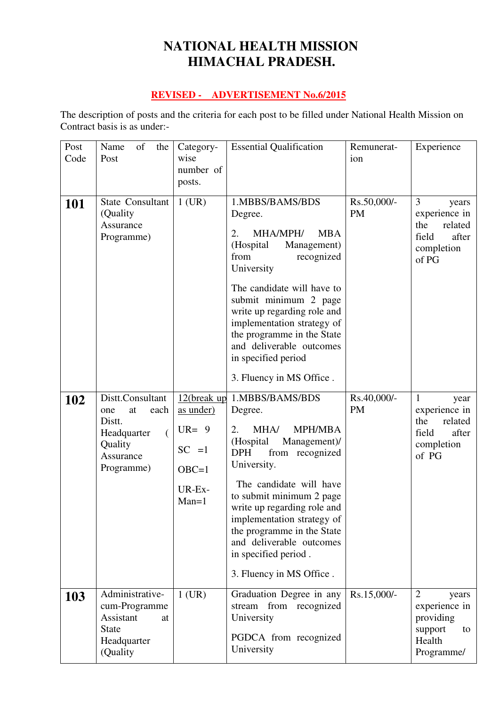# **NATIONAL HEALTH MISSION HIMACHAL PRADESH.**

### **REVISED - ADVERTISEMENT No.6/2015**

The description of posts and the criteria for each post to be filled under National Health Mission on Contract basis is as under:-

| Post<br>Code | Name<br>of<br>the<br>Post                                                                                              | Category-<br>wise                                                                 | <b>Essential Qualification</b>                                                                                                                                                                                                                                                                                                                                            | Remunerat-<br>ion        | Experience                                                                                       |
|--------------|------------------------------------------------------------------------------------------------------------------------|-----------------------------------------------------------------------------------|---------------------------------------------------------------------------------------------------------------------------------------------------------------------------------------------------------------------------------------------------------------------------------------------------------------------------------------------------------------------------|--------------------------|--------------------------------------------------------------------------------------------------|
|              |                                                                                                                        | number of                                                                         |                                                                                                                                                                                                                                                                                                                                                                           |                          |                                                                                                  |
|              |                                                                                                                        | posts.                                                                            |                                                                                                                                                                                                                                                                                                                                                                           |                          |                                                                                                  |
| <b>101</b>   | State Consultant<br>(Quality)<br>Assurance<br>Programme)                                                               | $1$ (UR)                                                                          | 1.MBBS/BAMS/BDS<br>Degree.<br>MHA/MPH/<br>2.<br><b>MBA</b><br>(Hospital<br>Management)<br>from<br>recognized<br>University<br>The candidate will have to<br>submit minimum 2 page<br>write up regarding role and<br>implementation strategy of<br>the programme in the State<br>and deliverable outcomes<br>in specified period<br>3. Fluency in MS Office.               | Rs.50,000/-<br><b>PM</b> | 3<br>years<br>experience in<br>the<br>related<br>field<br>after<br>completion<br>of PG           |
| 102          | Distt.Consultant<br>each<br>at<br>one<br>Distt.<br>Headquarter<br>$\overline{(}$<br>Quality<br>Assurance<br>Programme) | 12(break up)<br>as under)<br>$UR = 9$<br>$SC = 1$<br>$OBC=1$<br>UR-Ex-<br>$Man=1$ | 1.MBBS/BAMS/BDS<br>Degree.<br><b>MPH/MBA</b><br>MHA/<br>2.<br>(Hospital<br>Management)/<br><b>DPH</b><br>from recognized<br>University.<br>The candidate will have<br>to submit minimum 2 page<br>write up regarding role and<br>implementation strategy of<br>the programme in the State<br>and deliverable outcomes<br>in specified period.<br>3. Fluency in MS Office. | Rs.40,000/-<br><b>PM</b> | $\mathbf{1}$<br>year<br>experience in<br>related<br>the<br>field<br>after<br>completion<br>of PG |
| <b>103</b>   | Administrative-<br>cum-Programme<br>Assistant<br>at<br><b>State</b><br>Headquarter<br>(Quality)                        | $1$ (UR)                                                                          | Graduation Degree in any<br>stream<br>from recognized<br>University<br>PGDCA from recognized<br>University                                                                                                                                                                                                                                                                | Rs.15,000/-              | $\overline{2}$<br>years<br>experience in<br>providing<br>support<br>to<br>Health<br>Programme/   |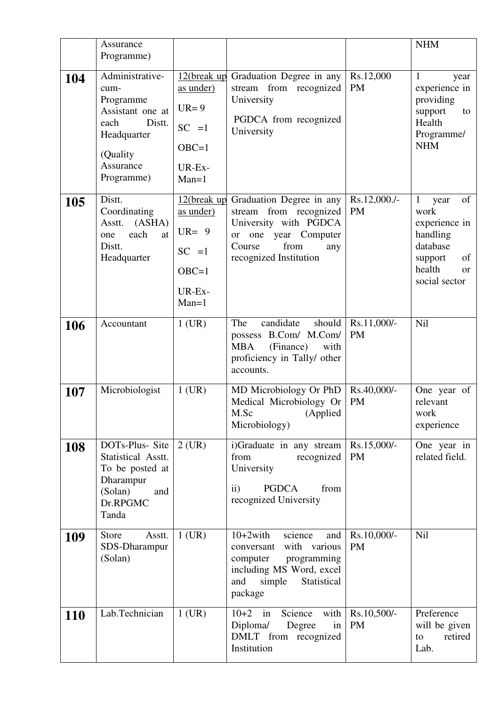|            | Assurance<br>Programme)                                                                                                          |                                                                                     |                                                                                                                                                               |                           | <b>NHM</b>                                                                                                                |
|------------|----------------------------------------------------------------------------------------------------------------------------------|-------------------------------------------------------------------------------------|---------------------------------------------------------------------------------------------------------------------------------------------------------------|---------------------------|---------------------------------------------------------------------------------------------------------------------------|
| 104        | Administrative-<br>cum-<br>Programme<br>Assistant one at<br>Distt.<br>each<br>Headquarter<br>(Quality<br>Assurance<br>Programme) | 12(break up<br>as under)<br>$UR = 9$<br>$SC = 1$<br>$OBC=1$<br>UR-Ex-<br>$Man=1$    | Graduation Degree in any<br>stream from recognized<br>University<br>PGDCA from recognized<br>University                                                       | Rs.12,000<br><b>PM</b>    | $\mathbf{1}$<br>year<br>experience in<br>providing<br>support<br>to<br>Health<br>Programme/<br><b>NHM</b>                 |
| 105        | Distt.<br>Coordinating<br>(ASHA)<br>Asstt.<br>each<br>at<br>one<br>Distt.<br>Headquarter                                         | $12$ (break up<br>as under)<br>$UR = 9$<br>$SC = 1$<br>$OBC=1$<br>UR-Ex-<br>$Man=1$ | Graduation Degree in any<br>stream from recognized<br>University with PGDCA<br>year Computer<br>or one<br>from<br>Course<br>any<br>recognized Institution     | Rs.12,000./-<br><b>PM</b> | of<br>1<br>year<br>work<br>experience in<br>handling<br>database<br>of<br>support<br>health<br><b>or</b><br>social sector |
| 106        | Accountant                                                                                                                       | $1$ (UR)                                                                            | candidate<br>The<br>should<br>possess B.Com/ M.Com/<br><b>MBA</b><br>(Finance)<br>with<br>proficiency in Tally/ other<br>accounts.                            | Rs.11,000/-<br><b>PM</b>  | Nil                                                                                                                       |
| 107        | Microbiologist                                                                                                                   | $1$ (UR)                                                                            | MD Microbiology Or PhD<br>Medical Microbiology Or<br>M.Sc (Applied<br>Microbiology)                                                                           | Rs.40,000/-<br><b>PM</b>  | One year of<br>relevant<br>work<br>experience                                                                             |
| 108        | DOTs-Plus-Site<br>Statistical Asstt.<br>To be posted at<br>Dharampur<br>(Solan)<br>and<br>Dr.RPGMC<br>Tanda                      | $2$ (UR)                                                                            | i)Graduate in any stream<br>from<br>recognized<br>University<br><b>PGDCA</b><br>$\mathbf{ii}$<br>from<br>recognized University                                | Rs.15,000/-<br><b>PM</b>  | One year in<br>related field.                                                                                             |
| 109        | <b>Store</b><br>Asstt.<br>SDS-Dharampur<br>(Solan)                                                                               | $1$ (UR)                                                                            | $10+2$ with<br>science<br>and<br>with various<br>conversant<br>computer<br>programming<br>including MS Word, excel<br>simple<br>Statistical<br>and<br>package | Rs.10,000/-<br><b>PM</b>  | <b>Nil</b>                                                                                                                |
| <b>110</b> | Lab.Technician                                                                                                                   | $1$ (UR)                                                                            | with<br>$10+2$ in<br>Science<br>Diploma/<br>Degree<br>in<br>DMLT from recognized<br>Institution                                                               | Rs.10,500/-<br><b>PM</b>  | Preference<br>will be given<br>retired<br>to<br>Lab.                                                                      |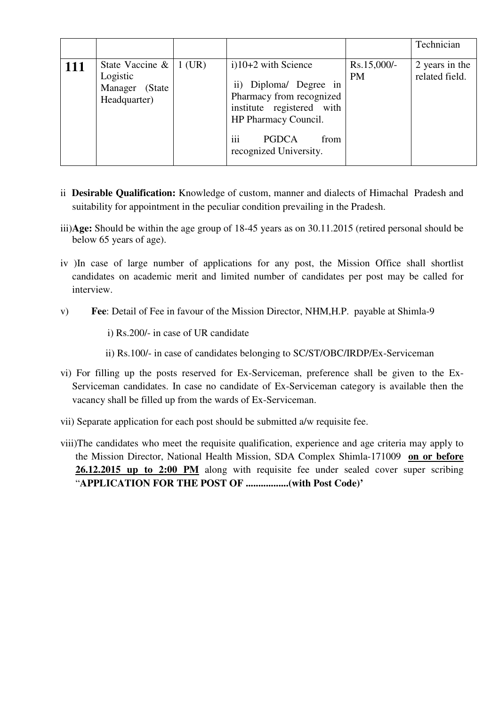|     |                                                                               |                                                                                                                                                                                                        |                          | Technician                       |
|-----|-------------------------------------------------------------------------------|--------------------------------------------------------------------------------------------------------------------------------------------------------------------------------------------------------|--------------------------|----------------------------------|
| 111 | State Vaccine $\&$   1 (UR)<br>Logistic<br>Manager<br>(State)<br>Headquarter) | $i)$ 10+2 with Science<br>ii) Diploma/ Degree in<br>Pharmacy from recognized<br>institute registered with<br>HP Pharmacy Council.<br>$\cdots$<br><b>PGDCA</b><br>from<br>111<br>recognized University. | Rs.15,000/-<br><b>PM</b> | 2 years in the<br>related field. |

- ii **Desirable Qualification:** Knowledge of custom, manner and dialects of Himachal Pradesh and suitability for appointment in the peculiar condition prevailing in the Pradesh.
- iii)**Age:** Should be within the age group of 18-45 years as on 30.11.2015 (retired personal should be below 65 years of age).
- iv )In case of large number of applications for any post, the Mission Office shall shortlist candidates on academic merit and limited number of candidates per post may be called for interview.
- v) **Fee**: Detail of Fee in favour of the Mission Director, NHM,H.P. payable at Shimla-9
	- i) Rs.200/- in case of UR candidate
	- ii) Rs.100/- in case of candidates belonging to SC/ST/OBC/IRDP/Ex-Serviceman
- vi) For filling up the posts reserved for Ex-Serviceman, preference shall be given to the Ex-Serviceman candidates. In case no candidate of Ex-Serviceman category is available then the vacancy shall be filled up from the wards of Ex-Serviceman.
- vii) Separate application for each post should be submitted a/w requisite fee.
- viii)The candidates who meet the requisite qualification, experience and age criteria may apply to the Mission Director, National Health Mission, SDA Complex Shimla-171009 **on or before 26.12.2015 up to 2:00 PM** along with requisite fee under sealed cover super scribing "**APPLICATION FOR THE POST OF .................(with Post Code)'**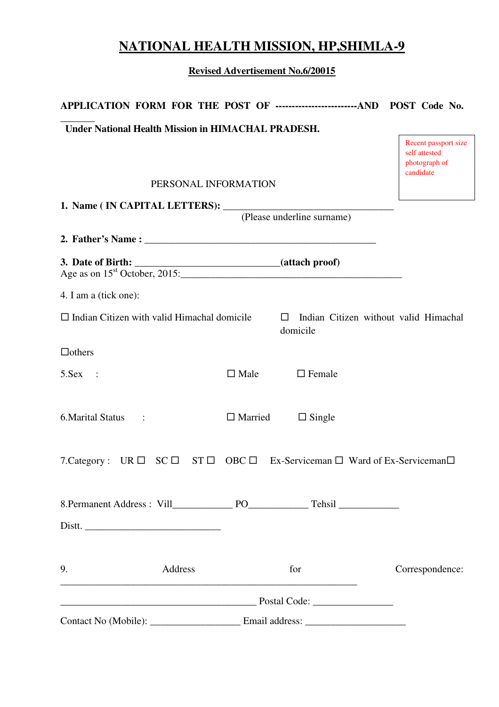# **NATIONAL HEALTH MISSION, HP,SHIMLA-9**

**Revised Advertisement No.6/20015**

| APPLICATION FORM FOR THE POST OF --------------------------AND POST Code No. |                      |                            |                                                                     |
|------------------------------------------------------------------------------|----------------------|----------------------------|---------------------------------------------------------------------|
| <b>Under National Health Mission in HIMACHAL PRADESH.</b>                    |                      |                            |                                                                     |
|                                                                              |                      |                            | Recent passport size<br>self attested<br>photograph of<br>candidate |
|                                                                              | PERSONAL INFORMATION |                            |                                                                     |
|                                                                              |                      |                            |                                                                     |
|                                                                              |                      | (Please underline surname) |                                                                     |
|                                                                              |                      |                            |                                                                     |
|                                                                              |                      |                            |                                                                     |
| 4. I am a (tick one):                                                        |                      |                            |                                                                     |
| $\Box$ Indian Citizen with valid Himachal domicile                           |                      | $\Box$<br>domicile         | Indian Citizen without valid Himachal                               |
| $\Box$ others                                                                |                      |                            |                                                                     |
| $5.$ Sex :                                                                   | $\square$ Male       | $\Box$ Female              |                                                                     |
| 6. Marital Status :                                                          | $\Box$ Married       | $\Box$ Single              |                                                                     |
| 7. Category : UR □ SC □ ST □ OBC □ Ex-Serviceman □ Ward of Ex-Serviceman □   |                      |                            |                                                                     |
|                                                                              |                      |                            |                                                                     |
|                                                                              |                      |                            |                                                                     |
| 9.<br>Address<br><u> 1989 - Johann Barn, fransk politik (f. 1989)</u>        |                      | for                        | Correspondence:                                                     |
|                                                                              |                      |                            |                                                                     |
|                                                                              |                      |                            |                                                                     |